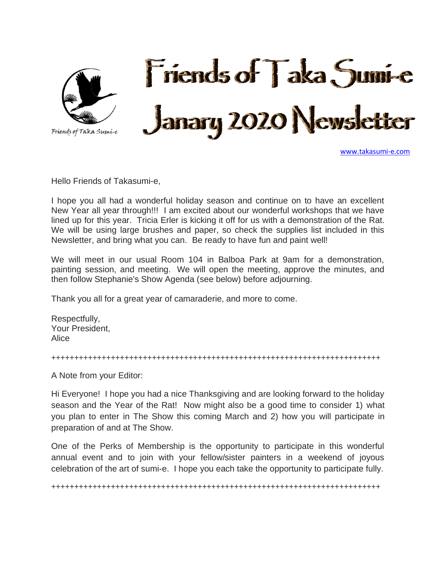

[www.takasumi-e.com](http://www.takasumi-e.com/)

Hello Friends of Takasumi-e,

I hope you all had a wonderful holiday season and continue on to have an excellent New Year all year through!!! I am excited about our wonderful workshops that we have lined up for this year. Tricia Erler is kicking it off for us with a demonstration of the Rat. We will be using large brushes and paper, so check the supplies list included in this Newsletter, and bring what you can. Be ready to have fun and paint well!

We will meet in our usual Room 104 in Balboa Park at 9am for a demonstration, painting session, and meeting. We will open the meeting, approve the minutes, and then follow Stephanie's Show Agenda (see below) before adjourning.

Thank you all for a great year of camaraderie, and more to come.

Respectfully, Your President, Alice

++++++++++++++++++++++++++++++++++++++++++++++++++++++++++++++++++++++++

A Note from your Editor:

Hi Everyone! I hope you had a nice Thanksgiving and are looking forward to the holiday season and the Year of the Rat! Now might also be a good time to consider 1) what you plan to enter in The Show this coming March and 2) how you will participate in preparation of and at The Show.

One of the Perks of Membership is the opportunity to participate in this wonderful annual event and to join with your fellow/sister painters in a weekend of joyous celebration of the art of sumi-e. I hope you each take the opportunity to participate fully.

++++++++++++++++++++++++++++++++++++++++++++++++++++++++++++++++++++++++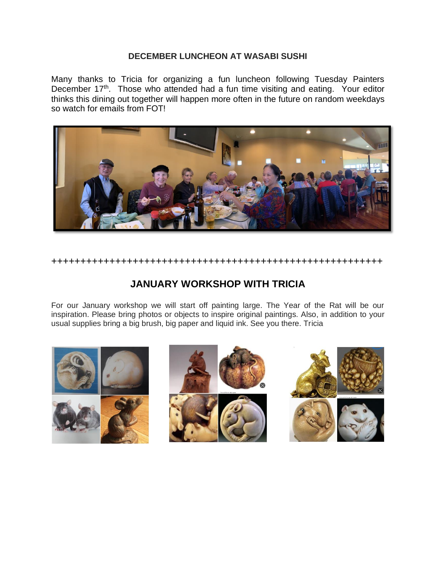#### **DECEMBER LUNCHEON AT WASABI SUSHI**

Many thanks to Tricia for organizing a fun luncheon following Tuesday Painters December 17<sup>th</sup>. Those who attended had a fun time visiting and eating. Your editor thinks this dining out together will happen more often in the future on random weekdays so watch for emails from FOT!



+++++++++++++++++++++++++++++++++++++++++++++++++++++++++

### **JANUARY WORKSHOP WITH TRICIA**

For our January workshop we will start off painting large. The Year of the Rat will be our inspiration. Please bring photos or objects to inspire original paintings. Also, in addition to your usual supplies bring a big brush, big paper and liquid ink. See you there. Tricia

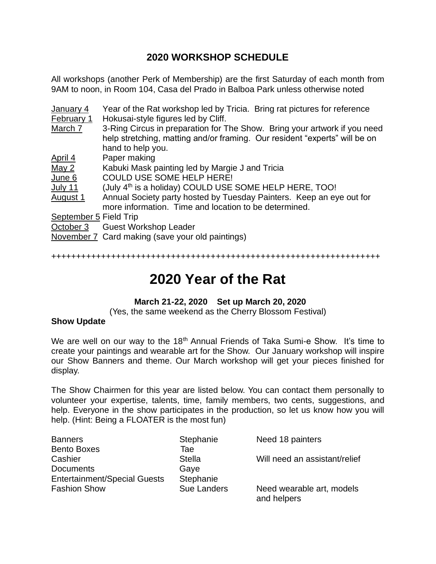### **2020 WORKSHOP SCHEDULE**

All workshops (another Perk of Membership) are the first Saturday of each month from 9AM to noon, in Room 104, Casa del Prado in Balboa Park unless otherwise noted

| January 4              | Year of the Rat workshop led by Tricia. Bring rat pictures for reference   |
|------------------------|----------------------------------------------------------------------------|
| February 1             | Hokusai-style figures led by Cliff.                                        |
| March 7                | 3-Ring Circus in preparation for The Show. Bring your artwork if you need  |
|                        | help stretching, matting and/or framing. Our resident "experts" will be on |
|                        | hand to help you.                                                          |
| April 4                | Paper making                                                               |
| May $2$                | Kabuki Mask painting led by Margie J and Tricia                            |
| June 6                 | <b>COULD USE SOME HELP HERE!</b>                                           |
| July 11                | (July 4 <sup>th</sup> is a holiday) COULD USE SOME HELP HERE, TOO!         |
| August 1               | Annual Society party hosted by Tuesday Painters. Keep an eye out for       |
|                        | more information. Time and location to be determined.                      |
| September 5 Field Trip |                                                                            |
|                        | October 3 Guest Workshop Leader                                            |
|                        | November 7 Card making (save your old paintings)                           |
|                        |                                                                            |

++++++++++++++++++++++++++++++++++++++++++++++++++++++++++++++++++

# **2020 Year of the Rat**

#### **March 21-22, 2020 Set up March 20, 2020**

(Yes, the same weekend as the Cherry Blossom Festival)

#### **Show Update**

We are well on our way to the 18<sup>th</sup> Annual Friends of Taka Sumi-e Show. It's time to create your paintings and wearable art for the Show. Our January workshop will inspire our Show Banners and theme. Our March workshop will get your pieces finished for display.

The Show Chairmen for this year are listed below. You can contact them personally to volunteer your expertise, talents, time, family members, two cents, suggestions, and help. Everyone in the show participates in the production, so let us know how you will help. (Hint: Being a FLOATER is the most fun)

| <b>Banners</b>                      | Stephanie          | Need 18 painters                         |
|-------------------------------------|--------------------|------------------------------------------|
| <b>Bento Boxes</b>                  | Tae                |                                          |
| Cashier                             | <b>Stella</b>      | Will need an assistant/relief            |
| <b>Documents</b>                    | Gaye               |                                          |
| <b>Entertainment/Special Guests</b> | Stephanie          |                                          |
| <b>Fashion Show</b>                 | <b>Sue Landers</b> | Need wearable art, models<br>and helpers |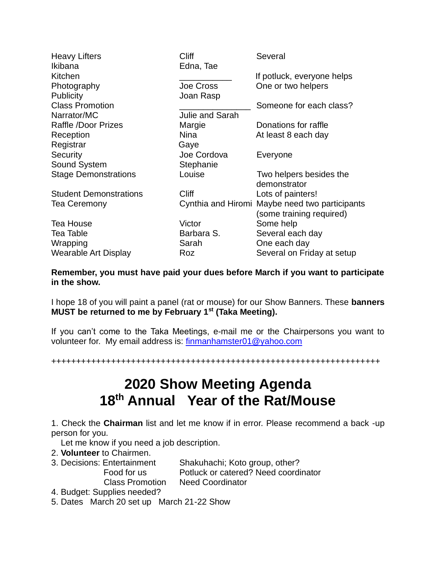| <b>Heavy Lifters</b>          | <b>Cliff</b>           | Several                                                                    |
|-------------------------------|------------------------|----------------------------------------------------------------------------|
| Ikibana                       | Edna, Tae              |                                                                            |
| Kitchen                       |                        | If potluck, everyone helps                                                 |
| Photography                   | Joe Cross              | One or two helpers                                                         |
| <b>Publicity</b>              | Joan Rasp              |                                                                            |
| <b>Class Promotion</b>        |                        | Someone for each class?                                                    |
| Narrator/MC                   | <b>Julie and Sarah</b> |                                                                            |
| Raffle /Door Prizes           | Margie                 | Donations for raffle                                                       |
| Reception                     | <b>Nina</b>            | At least 8 each day                                                        |
| Registrar                     | Gaye                   |                                                                            |
| Security                      | Joe Cordova            | Everyone                                                                   |
| Sound System                  | Stephanie              |                                                                            |
| <b>Stage Demonstrations</b>   | Louise                 | Two helpers besides the<br>demonstrator                                    |
| <b>Student Demonstrations</b> | <b>Cliff</b>           | Lots of painters!                                                          |
| <b>Tea Ceremony</b>           |                        | Cynthia and Hiromi Maybe need two participants<br>(some training required) |
| <b>Tea House</b>              | Victor                 | Some help                                                                  |
| <b>Tea Table</b>              | Barbara S.             | Several each day                                                           |
| Wrapping                      | Sarah                  | One each day                                                               |
| Wearable Art Display          | Roz                    | Several on Friday at setup                                                 |

**Remember, you must have paid your dues before March if you want to participate in the show.**

I hope 18 of you will paint a panel (rat or mouse) for our Show Banners. These **banners MUST be returned to me by February 1st (Taka Meeting).**

If you can't come to the Taka Meetings, e-mail me or the Chairpersons you want to volunteer for. My email address is: [finmanhamster01@yahoo.com](mailto:finmanhamster01@yahoo.com)

++++++++++++++++++++++++++++++++++++++++++++++++++++++++++++++++++

# **2020 Show Meeting Agenda 18th Annual Year of the Rat/Mouse**

1. Check the **Chairman** list and let me know if in error. Please recommend a back -up person for you.

Let me know if you need a job description.

- 2. **Volunteer** to Chairmen.
- 3. Decisions: Entertainment Shakuhachi; Koto group, other? Food for us Potluck or catered? Need coordinator Class Promotion Need Coordinator
- 4. Budget: Supplies needed?

5. Dates March 20 set up March 21-22 Show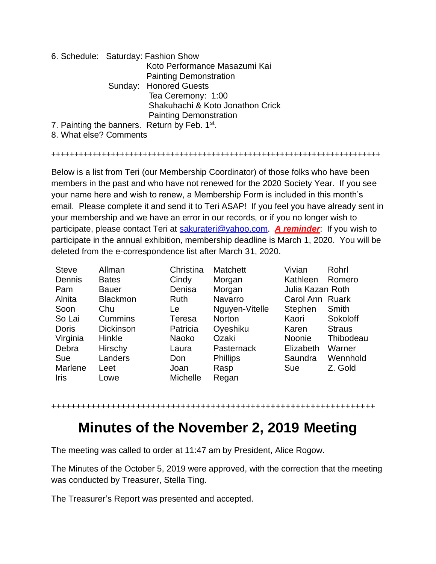|  | 6. Schedule: Saturday: Fashion Show                       |
|--|-----------------------------------------------------------|
|  | Koto Performance Masazumi Kai                             |
|  | <b>Painting Demonstration</b>                             |
|  | Sunday: Honored Guests                                    |
|  | Tea Ceremony: 1:00                                        |
|  | Shakuhachi & Koto Jonathon Crick                          |
|  | <b>Painting Demonstration</b>                             |
|  | 7. Painting the banners. Return by Feb. 1 <sup>st</sup> . |
|  |                                                           |

8. What else? Comments

++++++++++++++++++++++++++++++++++++++++++++++++++++++++++++++++++++++++

Below is a list from Teri (our Membership Coordinator) of those folks who have been members in the past and who have not renewed for the 2020 Society Year. If you see your name here and wish to renew, a Membership Form is included in this month's email. Please complete it and send it to Teri ASAP! If you feel you have already sent in your membership and we have an error in our records, or if you no longer wish to participate, please contact Teri at [sakurateri@yahoo.com.](mailto:sakurateri@yahoo.com) *A reminder*: If you wish to participate in the annual exhibition, membership deadline is March 1, 2020. You will be deleted from the e-correspondence list after March 31, 2020.

| <b>Steve</b> | Allman           | Christina       | <b>Matchett</b> | Vivian           | Rohrl         |
|--------------|------------------|-----------------|-----------------|------------------|---------------|
| Dennis       | <b>Bates</b>     | Cindy           | Morgan          | Kathleen         | Romero        |
| Pam          | <b>Bauer</b>     | Denisa          | Morgan          | Julia Kazan Roth |               |
| Alnita       | <b>Blackmon</b>  | Ruth            | Navarro         | Carol Ann Ruark  |               |
| Soon         | Chu              | Le              | Nguyen-Vitelle  | Stephen          | Smith         |
| So Lai       | Cummins          | Teresa          | Norton          | Kaori            | Sokoloff      |
| <b>Doris</b> | <b>Dickinson</b> | Patricia        | Oyeshiku        | Karen            | <b>Straus</b> |
| Virginia     | Hinkle           | <b>Naoko</b>    | Ozaki           | <b>Noonie</b>    | Thibodeau     |
| Debra        | Hirschy          | Laura           | Pasternack      | Elizabeth        | Warner        |
| Sue          | Landers          | Don             | <b>Phillips</b> | Saundra          | Wennhold      |
| Marlene      | Leet             | Joan            | Rasp            | Sue              | Z. Gold       |
| Iris         | Lowe             | <b>Michelle</b> | Regan           |                  |               |

#### +++++++++++++++++++++++++++++++++++++++++++++++++++++++++++++++++

### **Minutes of the November 2, 2019 Meeting**

The meeting was called to order at 11:47 am by President, Alice Rogow.

The Minutes of the October 5, 2019 were approved, with the correction that the meeting was conducted by Treasurer, Stella Ting.

The Treasurer's Report was presented and accepted.